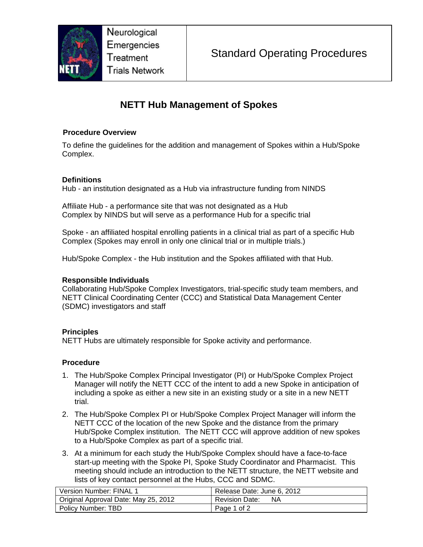

Neurological Emergencies Treatment **Trials Network** 

# **NETT Hub Management of Spokes**

### **Procedure Overview**

To define the guidelines for the addition and management of Spokes within a Hub/Spoke Complex.

## **Definitions**

Hub - an institution designated as a Hub via infrastructure funding from NINDS

Affiliate Hub - a performance site that was not designated as a Hub Complex by NINDS but will serve as a performance Hub for a specific trial

Spoke - an affiliated hospital enrolling patients in a clinical trial as part of a specific Hub Complex (Spokes may enroll in only one clinical trial or in multiple trials.)

Hub/Spoke Complex - the Hub institution and the Spokes affiliated with that Hub.

#### **Responsible Individuals**

Collaborating Hub/Spoke Complex Investigators, trial-specific study team members, and NETT Clinical Coordinating Center (CCC) and Statistical Data Management Center (SDMC) investigators and staff

## **Principles**

NETT Hubs are ultimately responsible for Spoke activity and performance.

## **Procedure**

- 1. The Hub/Spoke Complex Principal Investigator (PI) or Hub/Spoke Complex Project Manager will notify the NETT CCC of the intent to add a new Spoke in anticipation of including a spoke as either a new site in an existing study or a site in a new NETT trial.
- 2. The Hub/Spoke Complex PI or Hub/Spoke Complex Project Manager will inform the NETT CCC of the location of the new Spoke and the distance from the primary Hub/Spoke Complex institution. The NETT CCC will approve addition of new spokes to a Hub/Spoke Complex as part of a specific trial.
- 3. At a minimum for each study the Hub/Spoke Complex should have a face-to-face start-up meeting with the Spoke PI, Spoke Study Coordinator and Pharmacist. This meeting should include an introduction to the NETT structure, the NETT website and lists of key contact personnel at the Hubs, CCC and SDMC.

| Version Number: FINAL 1              | Release Date: June 6, 2012  |
|--------------------------------------|-----------------------------|
| Original Approval Date: May 25, 2012 | <b>Revision Date:</b><br>ΝA |
| Policy Number: TBD                   | Page 1 of 2                 |